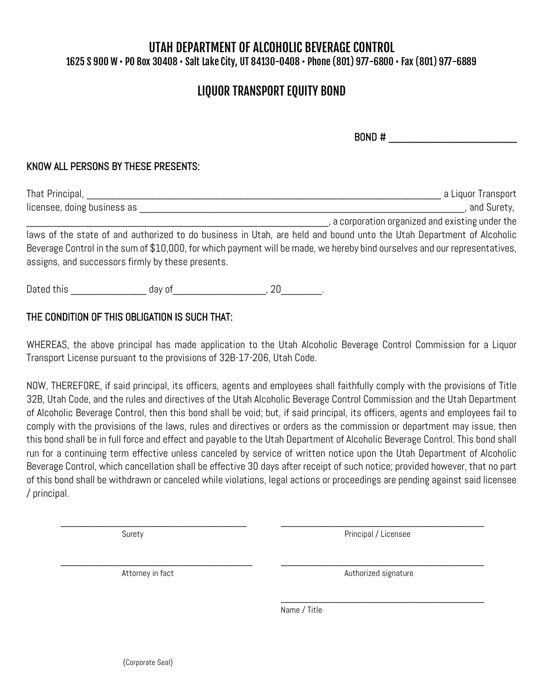## UTAH DEPARTMENT OF ALCOHOLIC BEVERAGE CONTROL 1625 S 900 W • PO Box 30408 • Salt Lake City, UT 84130-0408 • Phone (801) 977-6800 • Fax (801) 977-6889

# LIQUOR TRANSPORT EQUITY BOND

 $BOND \#$ 

#### KNOW ALL PERSONS BY THESE PRESENTS:

| That Principal,             | a Liguor Transport                             |
|-----------------------------|------------------------------------------------|
| licensee, doing business as | and Surety,                                    |
|                             | a corporation organized and existing under the |

laws of the state of and authorized to do business in Utah, are held and bound unto the Utah Department of Alcoholic Beverage Control in the sum of \$10,000, for which payment will be made, we hereby bind ourselves and our representatives, assigns, and successors firmly by these presents.

Dated this \_\_\_\_\_\_\_\_\_\_\_\_\_\_\_\_\_\_ day of \_\_\_\_\_\_\_\_\_\_\_\_\_\_\_\_\_\_\_\_, 20\_\_\_\_\_\_\_\_\_.

### THE CONDITION OF THIS OBLIGATION IS SUCH THAT:

WHEREAS, the above principal has made application to the Utah Alcoholic Beverage Control Commission for a Liquor Transport License pursuant to the provisions of 32B-17-206, Utah Code.

NOW, THEREFORE, if said principal, its officers, agents and employees shall faithfully comply with the provisions of Title 32B, Utah Code, and the rules and directives of the Utah Alcoholic Beverage Control Commission and the Utah Department of Alcoholic Beverage Control, then this bond shall be void; but, if said principal, its officers, agents and employees fail to comply with the provisions of the laws, rules and directives or orders as the commission or department may issue, then this bond shall be in full force and effect and payable to the Utah Department of Alcoholic Beverage Control. This bond shall run for a continuing term effective unless canceled by service of written notice upon the Utah Department of Alcoholic Beverage Control, which cancellation shall be effective 30 days after receipt of such notice; provided however, that no part of this bond shall be withdrawn or canceled while violations, legal actions or proceedings are pending against said licensee / principal.

\_\_\_\_\_\_\_\_\_\_\_\_\_\_\_\_\_\_\_\_\_\_\_\_\_\_\_\_\_\_\_\_ \_\_\_\_\_\_\_\_\_\_\_\_\_\_\_\_\_\_\_\_\_\_\_\_\_\_\_\_\_\_\_\_\_\_\_

\_\_\_\_\_\_\_\_\_\_\_\_\_\_\_\_\_\_\_\_\_\_\_\_\_\_\_\_\_\_\_\_\_ \_\_\_\_\_\_\_\_\_\_\_\_\_\_\_\_\_\_\_\_\_\_\_\_\_\_\_\_\_\_\_\_\_\_\_

 $\overline{\phantom{a}}$  , which is a set of the set of the set of the set of the set of the set of the set of the set of the set of the set of the set of the set of the set of the set of the set of the set of the set of the set of th

Surety **Principal / Licensee** 

Attorney in fact **Authorized** signature

Name / Title